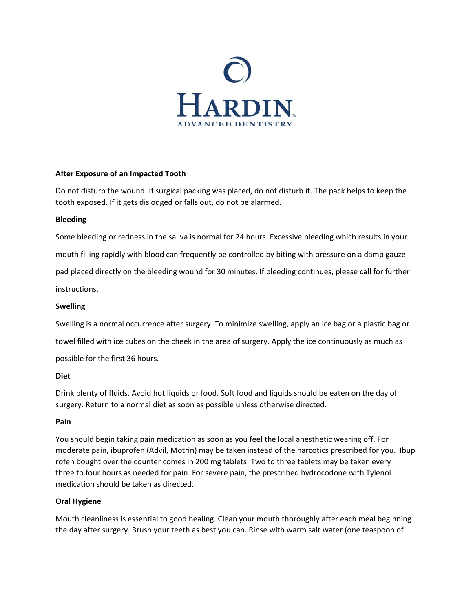

## **After Exposure of an Impacted Tooth**

Do not disturb the wound. If surgical packing was placed, do not disturb it. The pack helps to keep the tooth exposed. If it gets dislodged or falls out, do not be alarmed.

#### **Bleeding**

Some bleeding or redness in the saliva is normal for 24 hours. Excessive bleeding which results in your mouth filling rapidly with blood can frequently be controlled by biting with pressure on a damp gauze pad placed directly on the bleeding wound for 30 minutes. If bleeding continues, please call for further instructions.

### **Swelling**

Swelling is a normal occurrence after surgery. To minimize swelling, apply an ice bag or a plastic bag or towel filled with ice cubes on the cheek in the area of surgery. Apply the ice continuously as much as possible for the first 36 hours.

#### **Diet**

Drink plenty of fluids. Avoid hot liquids or food. Soft food and liquids should be eaten on the day of surgery. Return to a normal diet as soon as possible unless otherwise directed.

#### **Pain**

You should begin taking pain medication as soon as you feel the local anesthetic wearing off. For moderate pain, ibuprofen (Advil, Motrin) may be taken instead of the narcotics prescribed for you. Ibup rofen bought over the counter comes in 200 mg tablets: Two to three tablets may be taken every three to four hours as needed for pain. For severe pain, the prescribed hydrocodone with Tylenol medication should be taken as directed.

# **Oral Hygiene**

Mouth cleanliness is essential to good healing. Clean your mouth thoroughly after each meal beginning the day after surgery. Brush your teeth as best you can. Rinse with warm salt water (one teaspoon of